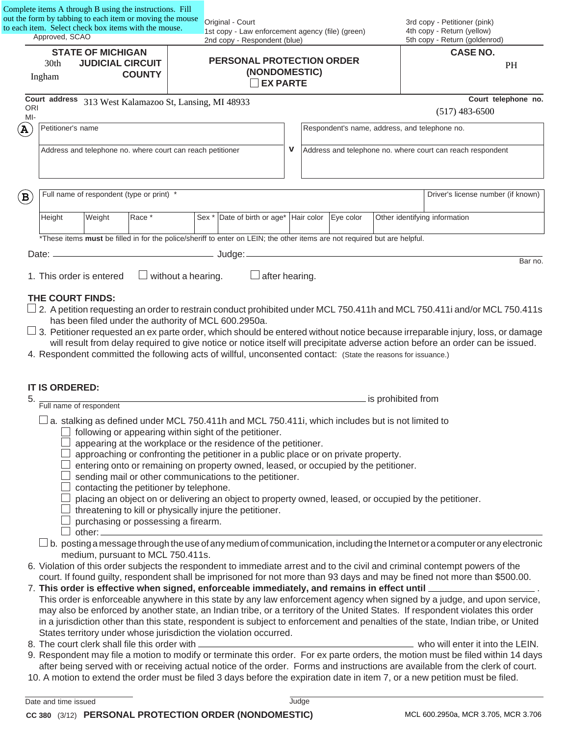|                                                                        | Approved, SCAO                                             |                          | out the form by tabbing to each item or moving the mouse<br>to each item. Select check box items with the mouse. |  | Original - Court<br>1st copy - Law enforcement agency (file) (green)<br>2nd copy - Respondent (blue)                                                                                                                                                                                                                                                               |                                                                 |  |           |                    | 3rd copy - Petitioner (pink)<br>4th copy - Return (yellow)<br>5th copy - Return (goldenrod)                                                                                                                                                                                                                                                                                    |                     |
|------------------------------------------------------------------------|------------------------------------------------------------|--------------------------|------------------------------------------------------------------------------------------------------------------|--|--------------------------------------------------------------------------------------------------------------------------------------------------------------------------------------------------------------------------------------------------------------------------------------------------------------------------------------------------------------------|-----------------------------------------------------------------|--|-----------|--------------------|--------------------------------------------------------------------------------------------------------------------------------------------------------------------------------------------------------------------------------------------------------------------------------------------------------------------------------------------------------------------------------|---------------------|
|                                                                        |                                                            | <b>STATE OF MICHIGAN</b> |                                                                                                                  |  |                                                                                                                                                                                                                                                                                                                                                                    |                                                                 |  |           |                    | <b>CASE NO.</b>                                                                                                                                                                                                                                                                                                                                                                |                     |
| <b>JUDICIAL CIRCUIT</b><br>30 <sub>th</sub><br><b>COUNTY</b><br>Ingham |                                                            |                          | <b>PERSONAL PROTECTION ORDER</b><br>(NONDOMESTIC)<br><b>EX PARTE</b>                                             |  |                                                                                                                                                                                                                                                                                                                                                                    |                                                                 |  | <b>PH</b> |                    |                                                                                                                                                                                                                                                                                                                                                                                |                     |
| <b>ORI</b>                                                             |                                                            |                          | Court address 313 West Kalamazoo St, Lansing, MI 48933                                                           |  |                                                                                                                                                                                                                                                                                                                                                                    |                                                                 |  |           |                    | $(517)$ 483-6500                                                                                                                                                                                                                                                                                                                                                               | Court telephone no. |
| $MI -$<br>$(\mathbf{A})$                                               | Petitioner's name                                          |                          |                                                                                                                  |  |                                                                                                                                                                                                                                                                                                                                                                    |                                                                 |  |           |                    | Respondent's name, address, and telephone no.                                                                                                                                                                                                                                                                                                                                  |                     |
|                                                                        | Address and telephone no. where court can reach petitioner |                          |                                                                                                                  |  |                                                                                                                                                                                                                                                                                                                                                                    | Address and telephone no. where court can reach respondent<br>V |  |           |                    |                                                                                                                                                                                                                                                                                                                                                                                |                     |
|                                                                        |                                                            |                          | Full name of respondent (type or print) *                                                                        |  |                                                                                                                                                                                                                                                                                                                                                                    |                                                                 |  |           |                    | Driver's license number (if known)                                                                                                                                                                                                                                                                                                                                             |                     |
| $\bf (B)$                                                              |                                                            |                          |                                                                                                                  |  |                                                                                                                                                                                                                                                                                                                                                                    |                                                                 |  |           |                    |                                                                                                                                                                                                                                                                                                                                                                                |                     |
|                                                                        | Height                                                     | Weight                   | Race *                                                                                                           |  | Sex * Date of birth or age*   Hair color                                                                                                                                                                                                                                                                                                                           |                                                                 |  | Eye color |                    | Other identifying information                                                                                                                                                                                                                                                                                                                                                  |                     |
|                                                                        |                                                            |                          |                                                                                                                  |  | *These items must be filled in for the police/sheriff to enter on LEIN; the other items are not required but are helpful.                                                                                                                                                                                                                                          |                                                                 |  |           |                    |                                                                                                                                                                                                                                                                                                                                                                                |                     |
|                                                                        |                                                            |                          |                                                                                                                  |  |                                                                                                                                                                                                                                                                                                                                                                    |                                                                 |  |           |                    |                                                                                                                                                                                                                                                                                                                                                                                | Bar no.             |
|                                                                        |                                                            | 1. This order is entered | $\Box$ without a hearing.                                                                                        |  | $\Box$ after hearing.                                                                                                                                                                                                                                                                                                                                              |                                                                 |  |           |                    |                                                                                                                                                                                                                                                                                                                                                                                |                     |
|                                                                        |                                                            |                          |                                                                                                                  |  | 4. Respondent committed the following acts of willful, unconsented contact: (State the reasons for issuance.)                                                                                                                                                                                                                                                      |                                                                 |  |           |                    | 3. Petitioner requested an ex parte order, which should be entered without notice because irreparable injury, loss, or damage<br>will result from delay required to give notice or notice itself will precipitate adverse action before an order can be issued.                                                                                                                |                     |
|                                                                        | <b>IT IS ORDERED:</b>                                      |                          |                                                                                                                  |  |                                                                                                                                                                                                                                                                                                                                                                    |                                                                 |  |           |                    |                                                                                                                                                                                                                                                                                                                                                                                |                     |
|                                                                        |                                                            | Full name of respondent  |                                                                                                                  |  |                                                                                                                                                                                                                                                                                                                                                                    |                                                                 |  |           | is prohibited from |                                                                                                                                                                                                                                                                                                                                                                                |                     |
|                                                                        |                                                            |                          |                                                                                                                  |  | following or appearing within sight of the petitioner.<br>appearing at the workplace or the residence of the petitioner.<br>approaching or confronting the petitioner in a public place or on private property.<br>entering onto or remaining on property owned, leased, or occupied by the petitioner.<br>sending mail or other communications to the petitioner. |                                                                 |  |           |                    |                                                                                                                                                                                                                                                                                                                                                                                |                     |
|                                                                        |                                                            |                          | contacting the petitioner by telephone.<br>purchasing or possessing a firearm.                                   |  | placing an object on or delivering an object to property owned, leased, or occupied by the petitioner.<br>threatening to kill or physically injure the petitioner.                                                                                                                                                                                                 |                                                                 |  |           |                    |                                                                                                                                                                                                                                                                                                                                                                                |                     |
|                                                                        |                                                            |                          | medium, pursuant to MCL 750.411s.                                                                                |  |                                                                                                                                                                                                                                                                                                                                                                    |                                                                 |  |           |                    | $\Box$ b. posting a message through the use of any medium of communication, including the Internet or a computer or any electronic<br>6. Violation of this order subjects the respondent to immediate arrest and to the civil and criminal contempt powers of the                                                                                                              |                     |
|                                                                        |                                                            |                          |                                                                                                                  |  |                                                                                                                                                                                                                                                                                                                                                                    |                                                                 |  |           |                    | court. If found guilty, respondent shall be imprisoned for not more than 93 days and may be fined not more than \$500.00.<br>7. This order is effective when signed, enforceable immediately, and remains in effect until ________________________<br>This order is enforceable anywhere in this state by any law enforcement agency when signed by a judge, and upon service, |                     |
|                                                                        |                                                            |                          |                                                                                                                  |  |                                                                                                                                                                                                                                                                                                                                                                    |                                                                 |  |           |                    | may also be enforced by another state, an Indian tribe, or a territory of the United States. If respondent violates this order<br>in a jurisdiction other than this state, respondent is subject to enforcement and penalties of the state, Indian tribe, or United                                                                                                            |                     |
| 5.                                                                     |                                                            |                          |                                                                                                                  |  | States territory under whose jurisdiction the violation occurred.                                                                                                                                                                                                                                                                                                  |                                                                 |  |           |                    | 9. Respondent may file a motion to modify or terminate this order. For ex parte orders, the motion must be filed within 14 days                                                                                                                                                                                                                                                |                     |

| 10. A motion to extend the order must be filed 3 days before the expiration date in item 7, or a new |  |  |
|------------------------------------------------------------------------------------------------------|--|--|
|------------------------------------------------------------------------------------------------------|--|--|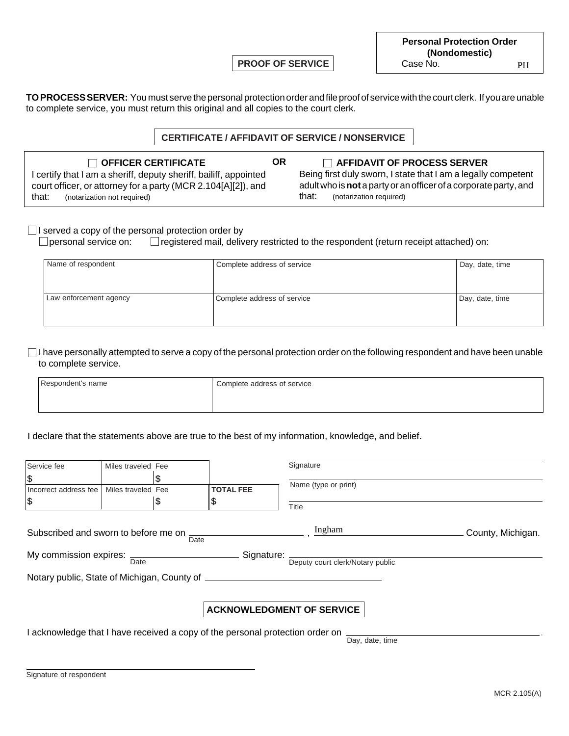**PROOF OF SERVICE**

**TO PROCESS SERVER:** You must serve the personal protection order and file proof of service with the court clerk. If you are unable to complete service, you must return this original and all copies to the court clerk.

### **CERTIFICATE / AFFIDAVIT OF SERVICE / NONSERVICE**

**OR**

| $\Box$ OFFICER CERTIFICATE                                        |
|-------------------------------------------------------------------|
| I certify that I am a sheriff, deputy sheriff, bailiff, appointed |
| court officer, or attorney for a party (MCR 2.104[A][2]), and     |

**CORPIFICATE AFFIDAVIT OF PROCESS SERVER** Being first duly sworn, I state that I am a legally competent adult who is **not** a party or an officer of a corporate party, and that: (notarization required)

### $\Box$  I served a copy of the personal protection order by

that: (notarization not required)

 $\Box$  personal service on:  $\Box$  registered mail, delivery restricted to the respondent (return receipt attached) on:

| Name of respondent     | Complete address of service | Day, date, time |
|------------------------|-----------------------------|-----------------|
| Law enforcement agency | Complete address of service | Day, date, time |

 $\Box$  I have personally attempted to serve a copy of the personal protection order on the following respondent and have been unable to complete service.

| Respondent's name | Complete address of service |
|-------------------|-----------------------------|
|                   |                             |

#### I declare that the statements above are true to the best of my information, knowledge, and belief.

| Service fee                                                    | Miles traveled Fee |      |                                                                                                                   | Signature                        |                   |
|----------------------------------------------------------------|--------------------|------|-------------------------------------------------------------------------------------------------------------------|----------------------------------|-------------------|
| \$                                                             |                    | \$   |                                                                                                                   | Name (type or print)             |                   |
| Incorrect address fee                                          | Miles traveled Fee |      | <b>TOTAL FEE</b>                                                                                                  |                                  |                   |
| \$                                                             |                    | \$   | Φ                                                                                                                 | Title                            |                   |
| Subscribed and sworn to before me on                           |                    | Date |                                                                                                                   | Ingham                           | County, Michigan. |
| My commission expires: $\frac{1}{\text{Date}}$<br>- Signature: |                    |      |                                                                                                                   | Deputy court clerk/Notary public |                   |
| Notary public, State of Michigan, County of                    |                    |      |                                                                                                                   |                                  |                   |
|                                                                |                    |      | <b>ACKNOWLEDGMENT OF SERVICE</b><br>I acknowledge that I have received a copy of the personal protection order on | Day, date, time                  |                   |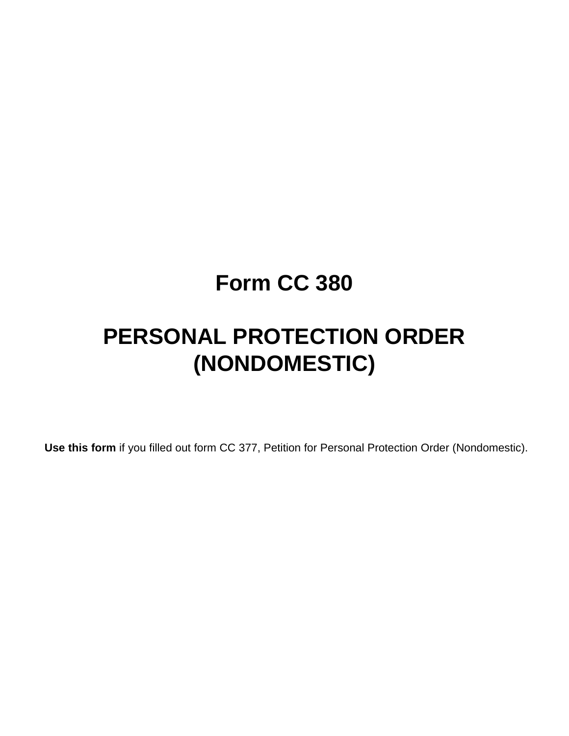## **Form CC 380**

# **PERSONAL PROTECTION ORDER (NONDOMESTIC)**

**Use this form** if you filled out form CC 377, Petition for Personal Protection Order (Nondomestic).